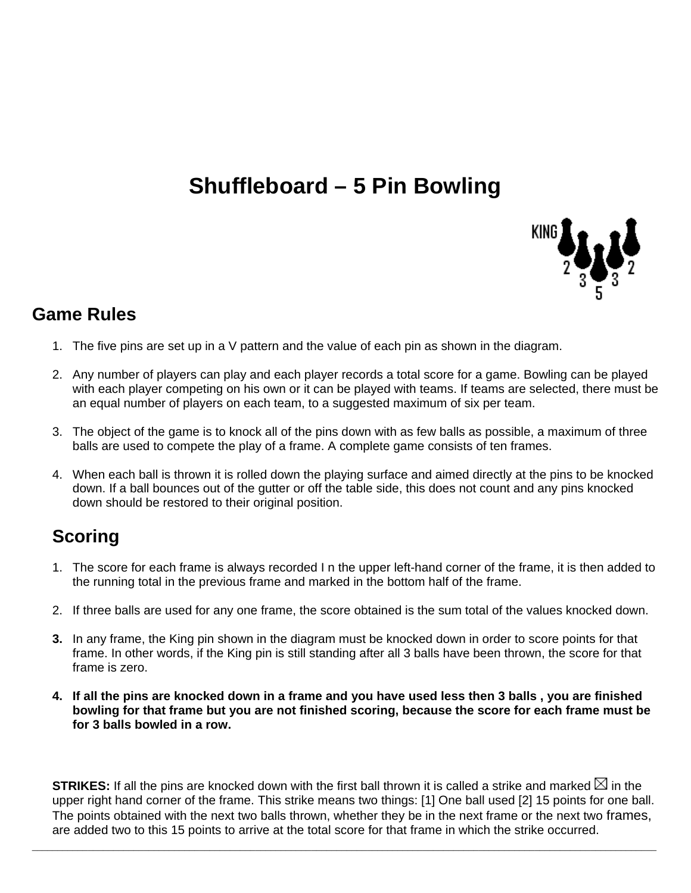## **Shuffleboard – 5 Pin Bowling**



## **Game Rules**

- 1. The five pins are set up in a V pattern and the value of each pin as shown in the diagram.
- 2. Any number of players can play and each player records a total score for a game. Bowling can be played with each player competing on his own or it can be played with teams. If teams are selected, there must be an equal number of players on each team, to a suggested maximum of six per team.
- 3. The object of the game is to knock all of the pins down with as few balls as possible, a maximum of three balls are used to compete the play of a frame. A complete game consists of ten frames.
- 4. When each ball is thrown it is rolled down the playing surface and aimed directly at the pins to be knocked down. If a ball bounces out of the gutter or off the table side, this does not count and any pins knocked down should be restored to their original position.

## **Scoring**

- 1. The score for each frame is always recorded I n the upper left-hand corner of the frame, it is then added to the running total in the previous frame and marked in the bottom half of the frame.
- 2. If three balls are used for any one frame, the score obtained is the sum total of the values knocked down.
- **3.** In any frame, the King pin shown in the diagram must be knocked down in order to score points for that frame. In other words, if the King pin is still standing after all 3 balls have been thrown, the score for that frame is zero.
- **4. If all the pins are knocked down in a frame and you have used less then 3 balls , you are finished bowling for that frame but you are not finished scoring, because the score for each frame must be for 3 balls bowled in a row.**

**STRIKES:** If all the pins are knocked down with the first ball thrown it is called a strike and marked  $\boxtimes$  in the upper right hand corner of the frame. This strike means two things: [1] One ball used [2] 15 points for one ball. The points obtained with the next two balls thrown, whether they be in the next frame or the next two frames, are added two to this 15 points to arrive at the total score for that frame in which the strike occurred.

\_\_\_\_\_\_\_\_\_\_\_\_\_\_\_\_\_\_\_\_\_\_\_\_\_\_\_\_\_\_\_\_\_\_\_\_\_\_\_\_\_\_\_\_\_\_\_\_\_\_\_\_\_\_\_\_\_\_\_\_\_\_\_\_\_\_\_\_\_\_\_\_\_\_\_\_\_\_\_\_\_\_\_\_\_\_\_\_\_\_\_\_\_\_\_\_\_\_\_\_\_\_\_\_\_\_\_\_\_\_\_\_\_\_\_\_\_\_\_\_\_\_\_